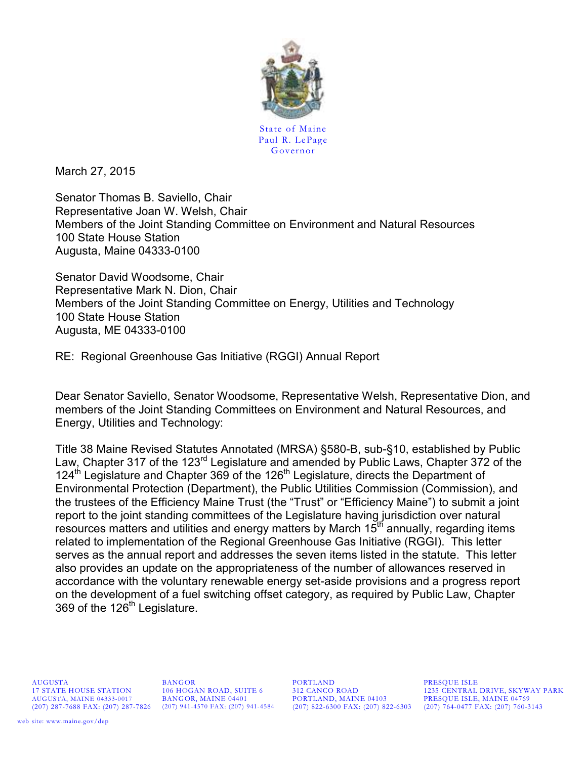

State of Maine Paul R. LePage Governor

March 27, 2015

Senator Thomas B. Saviello, Chair Representative Joan W. Welsh, Chair Members of the Joint Standing Committee on Environment and Natural Resources 100 State House Station Augusta, Maine 04333-0100

Senator David Woodsome, Chair Representative Mark N. Dion, Chair Members of the Joint Standing Committee on Energy, Utilities and Technology 100 State House Station Augusta, ME 04333-0100

RE: Regional Greenhouse Gas Initiative (RGGI) Annual Report

Dear Senator Saviello, Senator Woodsome, Representative Welsh, Representative Dion, and members of the Joint Standing Committees on Environment and Natural Resources, and Energy, Utilities and Technology:

Title 38 Maine Revised Statutes Annotated (MRSA) §580-B, sub-§10, established by Public Law, Chapter 317 of the 123<sup>rd</sup> Legislature and amended by Public Laws, Chapter 372 of the 124<sup>th</sup> Legislature and Chapter 369 of the 126<sup>th</sup> Legislature, directs the Department of Environmental Protection (Department), the Public Utilities Commission (Commission), and the trustees of the Efficiency Maine Trust (the "Trust" or "Efficiency Maine") to submit a joint report to the joint standing committees of the Legislature having jurisdiction over natural resources matters and utilities and energy matters by March  $15<sup>th</sup>$  annually, regarding items related to implementation of the Regional Greenhouse Gas Initiative (RGGI). This letter serves as the annual report and addresses the seven items listed in the statute. This letter also provides an update on the appropriateness of the number of allowances reserved in accordance with the voluntary renewable energy set-aside provisions and a progress report on the development of a fuel switching offset category, as required by Public Law, Chapter 369 of the 126<sup>th</sup> Legislature.

AUGUSTA, MAINE 04333-0017 BANGOR, MAINE 04401 PORTLAND, MAINE 04103 PRESQUE ISLE, MAINE 04769

AUGUSTA BANGOR PORTLAND PRESQUE ISLE

17 STATE HOUSE STATION 106 HOGAN ROAD, SUITE 6 312 CANCO ROAD 1235 CENTRAL DRIVE, SKYWAY PARK (207) 822-6300 FAX: (207) 822-6303 (207) 764-0477 FAX: (207) 760-3143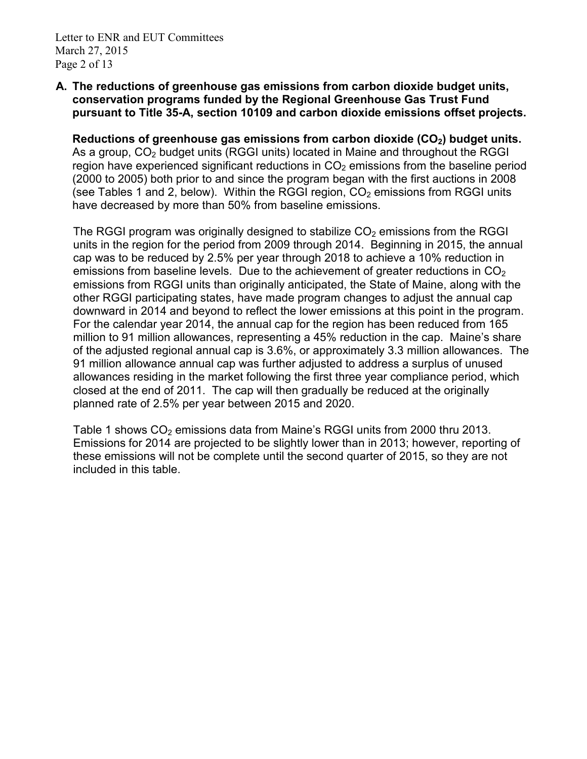# **A. The reductions of greenhouse gas emissions from carbon dioxide budget units, conservation programs funded by the Regional Greenhouse Gas Trust Fund pursuant to Title 35-A, section 10109 and carbon dioxide emissions offset projects.**

**Reductions of greenhouse gas emissions from carbon dioxide (CO2) budget units.** As a group,  $CO<sub>2</sub>$  budget units (RGGI units) located in Maine and throughout the RGGI region have experienced significant reductions in  $CO<sub>2</sub>$  emissions from the baseline period (2000 to 2005) both prior to and since the program began with the first auctions in 2008 (see Tables 1 and 2, below). Within the RGGI region,  $CO<sub>2</sub>$  emissions from RGGI units have decreased by more than 50% from baseline emissions.

The RGGI program was originally designed to stabilize  $CO<sub>2</sub>$  emissions from the RGGI units in the region for the period from 2009 through 2014. Beginning in 2015, the annual cap was to be reduced by 2.5% per year through 2018 to achieve a 10% reduction in emissions from baseline levels. Due to the achievement of greater reductions in  $CO<sub>2</sub>$ emissions from RGGI units than originally anticipated, the State of Maine, along with the other RGGI participating states, have made program changes to adjust the annual cap downward in 2014 and beyond to reflect the lower emissions at this point in the program. For the calendar year 2014, the annual cap for the region has been reduced from 165 million to 91 million allowances, representing a 45% reduction in the cap. Maine's share of the adjusted regional annual cap is 3.6%, or approximately 3.3 million allowances. The 91 million allowance annual cap was further adjusted to address a surplus of unused allowances residing in the market following the first three year compliance period, which closed at the end of 2011. The cap will then gradually be reduced at the originally planned rate of 2.5% per year between 2015 and 2020.

Table 1 shows  $CO<sub>2</sub>$  emissions data from Maine's RGGI units from 2000 thru 2013. Emissions for 2014 are projected to be slightly lower than in 2013; however, reporting of these emissions will not be complete until the second quarter of 2015, so they are not included in this table.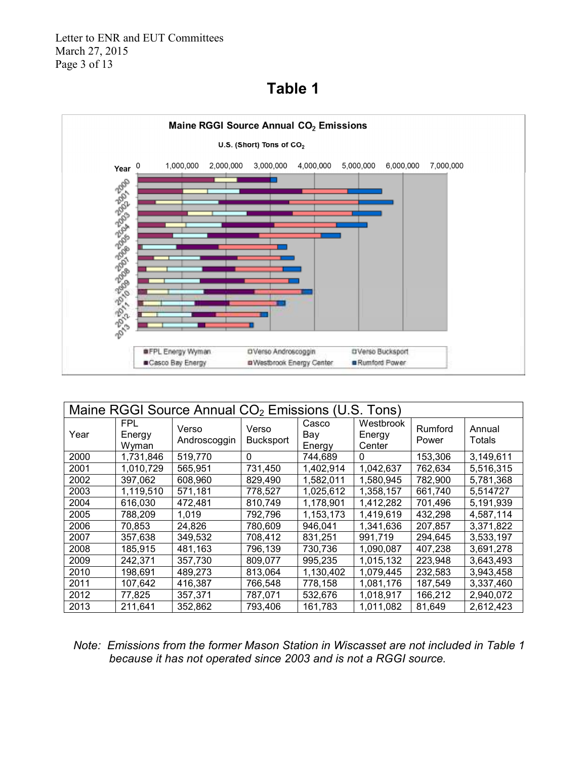# **Table 1**



| Maine RGGI Source Annual CO <sub>2</sub> Emissions (U.S. Tons) |                               |                       |                           |                        |                               |                  |                  |  |
|----------------------------------------------------------------|-------------------------------|-----------------------|---------------------------|------------------------|-------------------------------|------------------|------------------|--|
| Year                                                           | <b>FPL</b><br>Energy<br>Wyman | Verso<br>Androscoggin | Verso<br><b>Bucksport</b> | Casco<br>Bay<br>Energy | Westbrook<br>Energy<br>Center | Rumford<br>Power | Annual<br>Totals |  |
| 2000                                                           | 1,731,846                     | 519,770               | 0                         | 744,689                | 0                             | 153,306          | 3,149,611        |  |
| 2001                                                           | 1,010,729                     | 565,951               | 731,450                   | 1,402,914              | 1,042,637                     | 762,634          | 5,516,315        |  |
| 2002                                                           | 397,062                       | 608,960               | 829,490                   | 1,582,011              | 1,580,945                     | 782,900          | 5,781,368        |  |
| 2003                                                           | 1,119,510                     | 571,181               | 778,527                   | 1,025,612              | 1,358,157                     | 661,740          | 5,514727         |  |
| 2004                                                           | 616,030                       | 472,481               | 810,749                   | 1,178,901              | 1,412,282                     | 701,496          | 5,191,939        |  |
| 2005                                                           | 788,209                       | 1,019                 | 792,796                   | 1,153,173              | 1,419,619                     | 432,298          | 4,587,114        |  |
| 2006                                                           | 70,853                        | 24,826                | 780,609                   | 946,041                | 1,341,636                     | 207,857          | 3,371,822        |  |
| 2007                                                           | 357,638                       | 349,532               | 708,412                   | 831,251                | 991,719                       | 294,645          | 3,533,197        |  |
| 2008                                                           | 185,915                       | 481,163               | 796,139                   | 730,736                | 1,090,087                     | 407,238          | 3,691,278        |  |
| 2009                                                           | 242,371                       | 357,730               | 809,077                   | 995,235                | 1,015,132                     | 223,948          | 3,643,493        |  |
| 2010                                                           | 198,691                       | 489,273               | 813,064                   | 1,130,402              | 1,079,445                     | 232,583          | 3,943,458        |  |
| 2011                                                           | 107,642                       | 416,387               | 766,548                   | 778,158                | 1,081,176                     | 187,549          | 3,337,460        |  |
| 2012                                                           | 77,825                        | 357,371               | 787,071                   | 532,676                | 1,018,917                     | 166,212          | 2,940,072        |  |
| 2013                                                           | 211,641                       | 352,862               | 793,406                   | 161,783                | 1,011,082                     | 81,649           | 2,612,423        |  |

# *Note: Emissions from the former Mason Station in Wiscasset are not included in Table 1 because it has not operated since 2003 and is not a RGGI source.*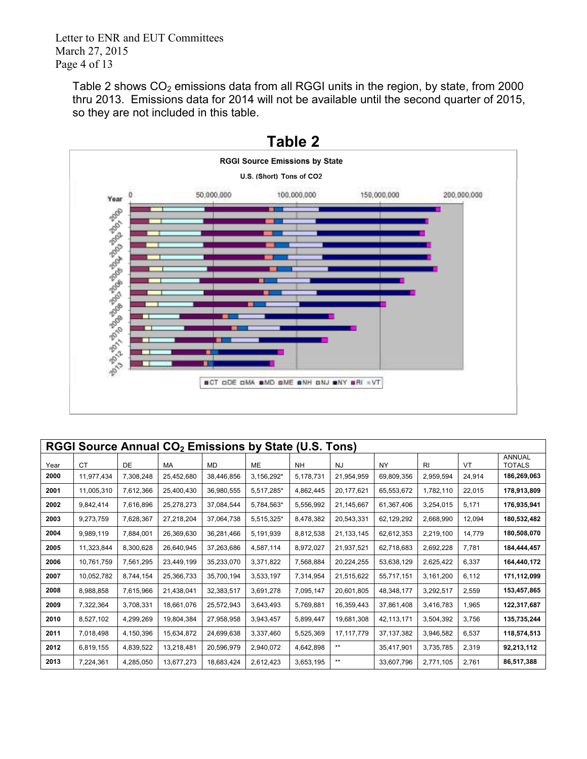Letter to ENR and EUT Committees March 27, 2015 Page 4 of 13

Table 2 shows  $CO<sub>2</sub>$  emissions data from all RGGI units in the region, by state, from 2000 thru 2013. Emissions data for 2014 will not be available until the second quarter of 2015, so they are not included in this table.



| RGGI Source Annual CO <sub>2</sub> Emissions by State (U.S. Tons) |            |           |            |            |            |           |              |              |                |        |                                |
|-------------------------------------------------------------------|------------|-----------|------------|------------|------------|-----------|--------------|--------------|----------------|--------|--------------------------------|
| Year                                                              | <b>CT</b>  | DE        | MA         | <b>MD</b>  | <b>ME</b>  | <b>NH</b> | <b>NJ</b>    | <b>NY</b>    | R <sub>l</sub> | VT     | <b>ANNUAL</b><br><b>TOTALS</b> |
| 2000                                                              | 11,977,434 | 7,308,248 | 25,452,680 | 38,446,856 | 3,156,292* | 5,178,731 | 21,954,959   | 69,809,356   | 2,959,594      | 24,914 | 186,269,063                    |
| 2001                                                              | 11,005,310 | 7,612,366 | 25,400,430 | 36,980,555 | 5,517,285* | 4,862,445 | 20, 177, 621 | 65,553,672   | 1,782,110      | 22,015 | 178,913,809                    |
| 2002                                                              | 9,842,414  | 7,616,896 | 25,278,273 | 37,084,544 | 5,784,563* | 5,556,992 | 21,145,667   | 61,367,406   | 3,254,015      | 5,171  | 176,935,941                    |
| 2003                                                              | 9,273,759  | 7,628,367 | 27,218,204 | 37,064,738 | 5,515,325* | 8,478,382 | 20,543,331   | 62,129,292   | 2,668,990      | 12,094 | 180,532,482                    |
| 2004                                                              | 9,989,119  | 7,884,001 | 26,369,630 | 36,281,466 | 5,191,939  | 8,812,538 | 21, 133, 145 | 62,612,353   | 2,219,100      | 14.779 | 180,508,070                    |
| 2005                                                              | 11,323,844 | 8,300,628 | 26,640,945 | 37,263,686 | 4,587,114  | 8,972,027 | 21,937,521   | 62,718,683   | 2,692,228      | 7,781  | 184,444,457                    |
| 2006                                                              | 10,761,759 | 7,561,295 | 23,449,199 | 35,233,070 | 3,371,822  | 7,568,884 | 20,224,255   | 53,638,129   | 2,625,422      | 6,337  | 164,440,172                    |
| 2007                                                              | 10,052,782 | 8,744,154 | 25,366,733 | 35,700,194 | 3,533,197  | 7,314,954 | 21,515,622   | 55,717,151   | 3,161,200      | 6,112  | 171,112,099                    |
| 2008                                                              | 8,988,858  | 7,615,966 | 21,438,041 | 32,383,517 | 3,691,278  | 7,095,147 | 20,601,805   | 48,348,177   | 3,292,517      | 2,559  | 153,457,865                    |
| 2009                                                              | 7,322,364  | 3,708,331 | 18,661,076 | 25,572,943 | 3,643,493  | 5,769,881 | 16,359,443   | 37,861,408   | 3,416,783      | 1,965  | 122,317,687                    |
| 2010                                                              | 8,527,102  | 4,299,269 | 19,804,384 | 27,958,958 | 3,943,457  | 5,899,447 | 19,681,308   | 42,113,171   | 3,504,392      | 3,756  | 135,735,244                    |
| 2011                                                              | 7,018,498  | 4,150,396 | 15,634,872 | 24,699,638 | 3,337,460  | 5,525,369 | 17, 117, 779 | 37, 137, 382 | 3,946,582      | 6,537  | 118,574,513                    |
| 2012                                                              | 6,819,155  | 4,839,522 | 13,218,481 | 20,596,979 | 2,940,072  | 4,642,898 | **           | 35,417,901   | 3,735,785      | 2,319  | 92,213,112                     |
| 2013                                                              | 7,224,361  | 4,285,050 | 13,677,273 | 18,683,424 | 2,612,423  | 3,653,195 | **           | 33,607,796   | 2,771,105      | 2.761  | 86,517,388                     |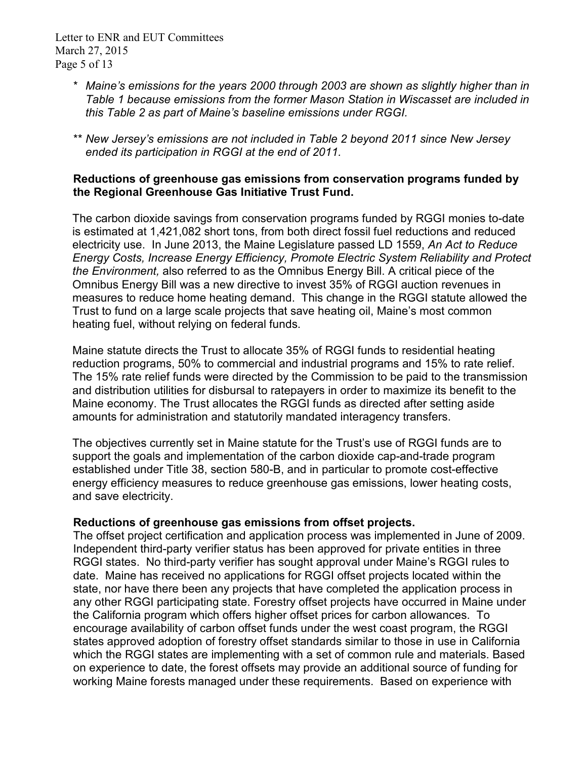- *\* Maine's emissions for the years 2000 through 2003 are shown as slightly higher than in Table 1 because emissions from the former Mason Station in Wiscasset are included in this Table 2 as part of Maine's baseline emissions under RGGI.*
- *\*\* New Jersey's emissions are not included in Table 2 beyond 2011 since New Jersey ended its participation in RGGI at the end of 2011.*

# **Reductions of greenhouse gas emissions from conservation programs funded by the Regional Greenhouse Gas Initiative Trust Fund.**

The carbon dioxide savings from conservation programs funded by RGGI monies to-date is estimated at 1,421,082 short tons, from both direct fossil fuel reductions and reduced electricity use. In June 2013, the Maine Legislature passed LD 1559, *An Act to Reduce Energy Costs, Increase Energy Efficiency, Promote Electric System Reliability and Protect the Environment,* also referred to as the Omnibus Energy Bill. A critical piece of the Omnibus Energy Bill was a new directive to invest 35% of RGGI auction revenues in measures to reduce home heating demand. This change in the RGGI statute allowed the Trust to fund on a large scale projects that save heating oil, Maine's most common heating fuel, without relying on federal funds.

Maine statute directs the Trust to allocate 35% of RGGI funds to residential heating reduction programs, 50% to commercial and industrial programs and 15% to rate relief. The 15% rate relief funds were directed by the Commission to be paid to the transmission and distribution utilities for disbursal to ratepayers in order to maximize its benefit to the Maine economy. The Trust allocates the RGGI funds as directed after setting aside amounts for administration and statutorily mandated interagency transfers.

The objectives currently set in Maine statute for the Trust's use of RGGI funds are to support the goals and implementation of the carbon dioxide cap-and-trade program established under Title 38, section 580-B, and in particular to promote cost-effective energy efficiency measures to reduce greenhouse gas emissions, lower heating costs, and save electricity.

# **Reductions of greenhouse gas emissions from offset projects.**

The offset project certification and application process was implemented in June of 2009. Independent third-party verifier status has been approved for private entities in three RGGI states. No third-party verifier has sought approval under Maine's RGGI rules to date. Maine has received no applications for RGGI offset projects located within the state, nor have there been any projects that have completed the application process in any other RGGI participating state. Forestry offset projects have occurred in Maine under the California program which offers higher offset prices for carbon allowances. To encourage availability of carbon offset funds under the west coast program, the RGGI states approved adoption of forestry offset standards similar to those in use in California which the RGGI states are implementing with a set of common rule and materials. Based on experience to date, the forest offsets may provide an additional source of funding for working Maine forests managed under these requirements. Based on experience with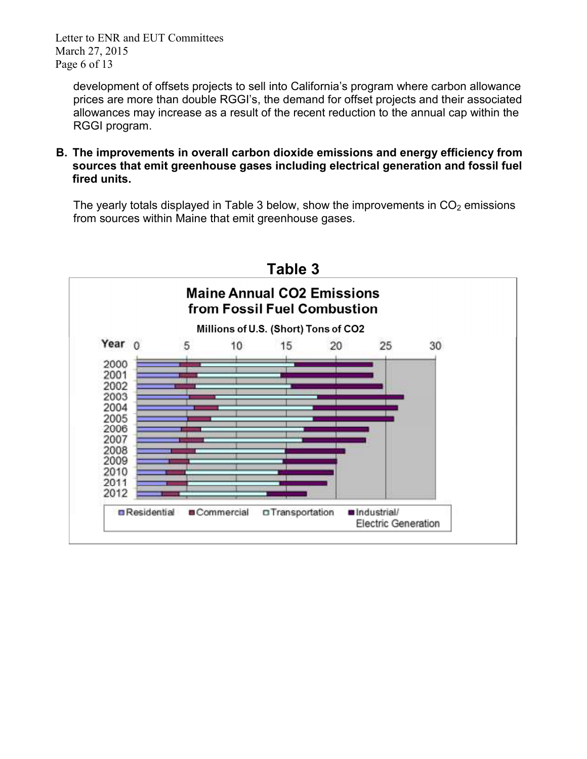Letter to ENR and EUT Committees March 27, 2015 Page 6 of 13

development of offsets projects to sell into California's program where carbon allowance prices are more than double RGGI's, the demand for offset projects and their associated allowances may increase as a result of the recent reduction to the annual cap within the RGGI program.

**B. The improvements in overall carbon dioxide emissions and energy efficiency from sources that emit greenhouse gases including electrical generation and fossil fuel fired units.** 

The yearly totals displayed in Table 3 below, show the improvements in  $CO<sub>2</sub>$  emissions from sources within Maine that emit greenhouse gases.

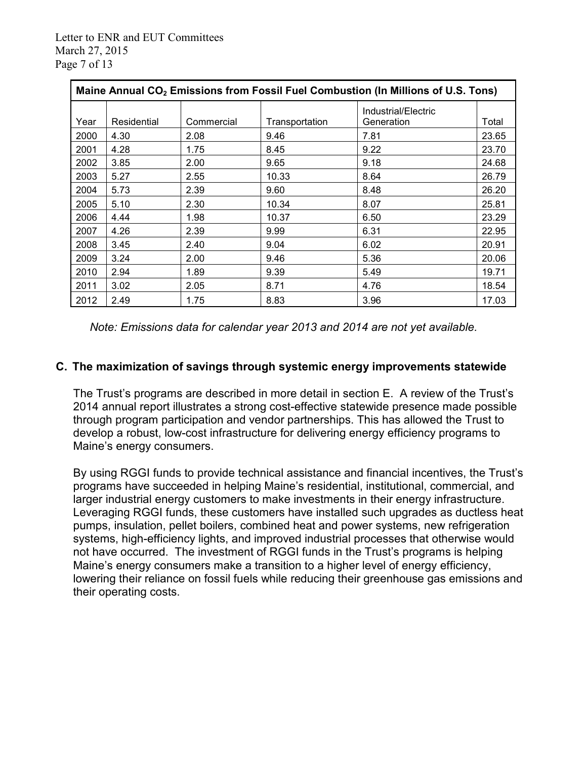| Maine Annual CO <sub>2</sub> Emissions from Fossil Fuel Combustion (In Millions of U.S. Tons) |             |            |                |                                   |       |  |  |
|-----------------------------------------------------------------------------------------------|-------------|------------|----------------|-----------------------------------|-------|--|--|
| Year                                                                                          | Residential | Commercial | Transportation | Industrial/Electric<br>Generation | Total |  |  |
| 2000                                                                                          | 4.30        | 2.08       | 9.46           | 7.81                              | 23.65 |  |  |
| 2001                                                                                          | 4.28        | 1.75       | 8.45           | 9.22                              | 23.70 |  |  |
| 2002                                                                                          | 3.85        | 2.00       | 9.65           | 9.18                              | 24.68 |  |  |
| 2003                                                                                          | 5.27        | 2.55       | 10.33          | 8.64                              | 26.79 |  |  |
| 2004                                                                                          | 5.73        | 2.39       | 9.60           | 8.48                              | 26.20 |  |  |
| 2005                                                                                          | 5.10        | 2.30       | 10.34          | 8.07                              | 25.81 |  |  |
| 2006                                                                                          | 4.44        | 1.98       | 10.37          | 6.50                              | 23.29 |  |  |
| 2007                                                                                          | 4.26        | 2.39       | 9.99           | 6.31                              | 22.95 |  |  |
| 2008                                                                                          | 3.45        | 2.40       | 9.04           | 6.02                              | 20.91 |  |  |
| 2009                                                                                          | 3.24        | 2.00       | 9.46           | 5.36                              | 20.06 |  |  |
| 2010                                                                                          | 2.94        | 1.89       | 9.39           | 5.49                              | 19.71 |  |  |
| 2011                                                                                          | 3.02        | 2.05       | 8.71           | 4.76                              | 18.54 |  |  |
| 2012                                                                                          | 2.49        | 1.75       | 8.83           | 3.96                              | 17.03 |  |  |

*Note: Emissions data for calendar year 2013 and 2014 are not yet available.* 

# **C. The maximization of savings through systemic energy improvements statewide**

The Trust's programs are described in more detail in section E. A review of the Trust's 2014 annual report illustrates a strong cost-effective statewide presence made possible through program participation and vendor partnerships. This has allowed the Trust to develop a robust, low-cost infrastructure for delivering energy efficiency programs to Maine's energy consumers.

By using RGGI funds to provide technical assistance and financial incentives, the Trust's programs have succeeded in helping Maine's residential, institutional, commercial, and larger industrial energy customers to make investments in their energy infrastructure. Leveraging RGGI funds, these customers have installed such upgrades as ductless heat pumps, insulation, pellet boilers, combined heat and power systems, new refrigeration systems, high-efficiency lights, and improved industrial processes that otherwise would not have occurred. The investment of RGGI funds in the Trust's programs is helping Maine's energy consumers make a transition to a higher level of energy efficiency, lowering their reliance on fossil fuels while reducing their greenhouse gas emissions and their operating costs.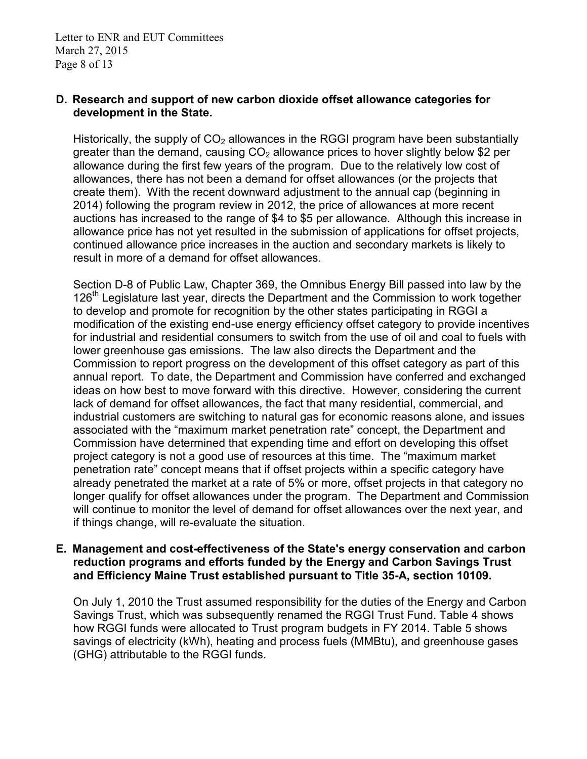#### **D. Research and support of new carbon dioxide offset allowance categories for development in the State.**

Historically, the supply of  $CO<sub>2</sub>$  allowances in the RGGI program have been substantially greater than the demand, causing  $CO<sub>2</sub>$  allowance prices to hover slightly below \$2 per allowance during the first few years of the program. Due to the relatively low cost of allowances, there has not been a demand for offset allowances (or the projects that create them). With the recent downward adjustment to the annual cap (beginning in 2014) following the program review in 2012, the price of allowances at more recent auctions has increased to the range of \$4 to \$5 per allowance. Although this increase in allowance price has not yet resulted in the submission of applications for offset projects, continued allowance price increases in the auction and secondary markets is likely to result in more of a demand for offset allowances.

Section D-8 of Public Law, Chapter 369, the Omnibus Energy Bill passed into law by the 126<sup>th</sup> Legislature last year, directs the Department and the Commission to work together to develop and promote for recognition by the other states participating in RGGI a modification of the existing end-use energy efficiency offset category to provide incentives for industrial and residential consumers to switch from the use of oil and coal to fuels with lower greenhouse gas emissions. The law also directs the Department and the Commission to report progress on the development of this offset category as part of this annual report. To date, the Department and Commission have conferred and exchanged ideas on how best to move forward with this directive. However, considering the current lack of demand for offset allowances, the fact that many residential, commercial, and industrial customers are switching to natural gas for economic reasons alone, and issues associated with the "maximum market penetration rate" concept, the Department and Commission have determined that expending time and effort on developing this offset project category is not a good use of resources at this time. The "maximum market penetration rate" concept means that if offset projects within a specific category have already penetrated the market at a rate of 5% or more, offset projects in that category no longer qualify for offset allowances under the program. The Department and Commission will continue to monitor the level of demand for offset allowances over the next year, and if things change, will re-evaluate the situation.

#### **E. Management and cost-effectiveness of the State's energy conservation and carbon reduction programs and efforts funded by the Energy and Carbon Savings Trust and Efficiency Maine Trust established pursuant to Title 35-A, section 10109.**

On July 1, 2010 the Trust assumed responsibility for the duties of the Energy and Carbon Savings Trust, which was subsequently renamed the RGGI Trust Fund. Table 4 shows how RGGI funds were allocated to Trust program budgets in FY 2014. Table 5 shows savings of electricity (kWh), heating and process fuels (MMBtu), and greenhouse gases (GHG) attributable to the RGGI funds.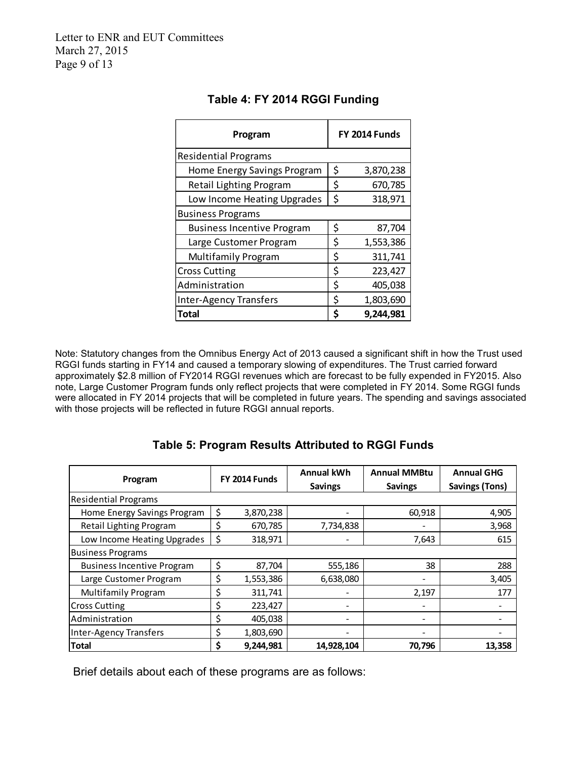| Program                           | FY 2014 Funds |           |  |
|-----------------------------------|---------------|-----------|--|
| <b>Residential Programs</b>       |               |           |  |
| Home Energy Savings Program       | \$            | 3,870,238 |  |
| Retail Lighting Program           | \$            | 670,785   |  |
| Low Income Heating Upgrades       | \$            | 318,971   |  |
| <b>Business Programs</b>          |               |           |  |
| <b>Business Incentive Program</b> | \$            | 87,704    |  |
| Large Customer Program            | \$            | 1,553,386 |  |
| <b>Multifamily Program</b>        | \$            | 311,741   |  |
| <b>Cross Cutting</b>              | \$            | 223,427   |  |
| Administration                    | \$            | 405,038   |  |
| <b>Inter-Agency Transfers</b>     | \$            | 1,803,690 |  |
| Total                             | Ś             | 9,244,981 |  |

# **Table 4: FY 2014 RGGI Funding**

Note: Statutory changes from the Omnibus Energy Act of 2013 caused a significant shift in how the Trust used RGGI funds starting in FY14 and caused a temporary slowing of expenditures. The Trust carried forward approximately \$2.8 million of FY2014 RGGI revenues which are forecast to be fully expended in FY2015. Also note, Large Customer Program funds only reflect projects that were completed in FY 2014. Some RGGI funds were allocated in FY 2014 projects that will be completed in future years. The spending and savings associated with those projects will be reflected in future RGGI annual reports.

# **Table 5: Program Results Attributed to RGGI Funds**

| Program                           |    | <b>FY 2014 Funds</b> | <b>Annual kWh</b><br><b>Savings</b> | <b>Annual MMBtu</b><br><b>Savings</b> | <b>Annual GHG</b><br><b>Savings (Tons)</b> |
|-----------------------------------|----|----------------------|-------------------------------------|---------------------------------------|--------------------------------------------|
| <b>Residential Programs</b>       |    |                      |                                     |                                       |                                            |
| Home Energy Savings Program       | \$ | 3,870,238            |                                     | 60,918                                | 4,905                                      |
| Retail Lighting Program           | S  | 670,785              | 7,734,838                           |                                       | 3,968                                      |
| Low Income Heating Upgrades       |    | 318,971              |                                     | 7,643                                 | 615                                        |
| <b>Business Programs</b>          |    |                      |                                     |                                       |                                            |
| <b>Business Incentive Program</b> | \$ | 87,704               | 555,186                             | 38                                    | 288                                        |
| Large Customer Program            | \$ | 1,553,386            | 6,638,080                           | -                                     | 3,405                                      |
| <b>Multifamily Program</b>        | Ś  | 311,741              |                                     | 2,197                                 | 177                                        |
| <b>Cross Cutting</b>              | \$ | 223,427              | ۰                                   |                                       |                                            |
| Administration                    | \$ | 405,038              | $\overline{\phantom{a}}$            | -                                     |                                            |
| <b>Inter-Agency Transfers</b>     |    | 1,803,690            |                                     |                                       |                                            |
| <b>Total</b>                      |    | 9,244,981            | 14,928,104                          | 70,796                                | 13,358                                     |

Brief details about each of these programs are as follows: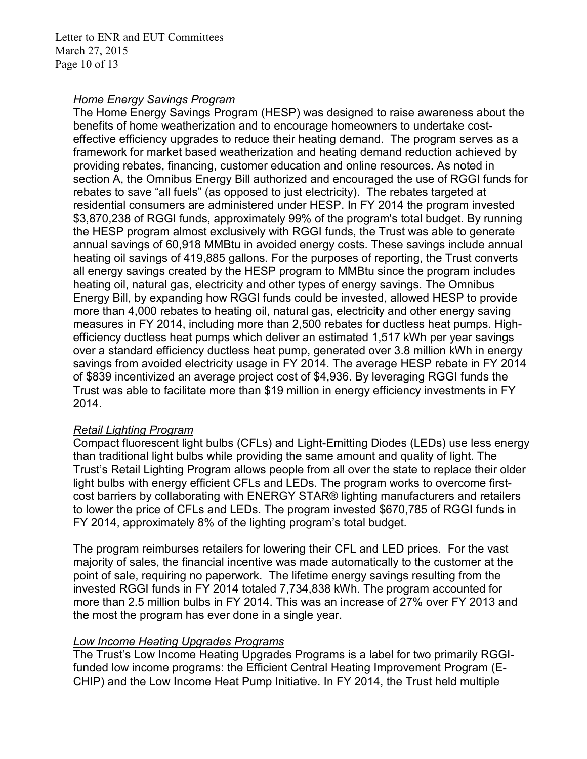Letter to ENR and EUT Committees March 27, 2015 Page 10 of 13

#### *Home Energy Savings Program*

The Home Energy Savings Program (HESP) was designed to raise awareness about the benefits of home weatherization and to encourage homeowners to undertake costeffective efficiency upgrades to reduce their heating demand. The program serves as a framework for market based weatherization and heating demand reduction achieved by providing rebates, financing, customer education and online resources. As noted in section A, the Omnibus Energy Bill authorized and encouraged the use of RGGI funds for rebates to save "all fuels" (as opposed to just electricity). The rebates targeted at residential consumers are administered under HESP. In FY 2014 the program invested \$3,870,238 of RGGI funds, approximately 99% of the program's total budget. By running the HESP program almost exclusively with RGGI funds, the Trust was able to generate annual savings of 60,918 MMBtu in avoided energy costs. These savings include annual heating oil savings of 419,885 gallons. For the purposes of reporting, the Trust converts all energy savings created by the HESP program to MMBtu since the program includes heating oil, natural gas, electricity and other types of energy savings. The Omnibus Energy Bill, by expanding how RGGI funds could be invested, allowed HESP to provide more than 4,000 rebates to heating oil, natural gas, electricity and other energy saving measures in FY 2014, including more than 2,500 rebates for ductless heat pumps. Highefficiency ductless heat pumps which deliver an estimated 1,517 kWh per year savings over a standard efficiency ductless heat pump, generated over 3.8 million kWh in energy savings from avoided electricity usage in FY 2014. The average HESP rebate in FY 2014 of \$839 incentivized an average project cost of \$4,936. By leveraging RGGI funds the Trust was able to facilitate more than \$19 million in energy efficiency investments in FY 2014.

# *Retail Lighting Program*

Compact fluorescent light bulbs (CFLs) and Light-Emitting Diodes (LEDs) use less energy than traditional light bulbs while providing the same amount and quality of light. The Trust's Retail Lighting Program allows people from all over the state to replace their older light bulbs with energy efficient CFLs and LEDs. The program works to overcome firstcost barriers by collaborating with ENERGY STAR® lighting manufacturers and retailers to lower the price of CFLs and LEDs. The program invested \$670,785 of RGGI funds in FY 2014, approximately 8% of the lighting program's total budget.

The program reimburses retailers for lowering their CFL and LED prices. For the vast majority of sales, the financial incentive was made automatically to the customer at the point of sale, requiring no paperwork. The lifetime energy savings resulting from the invested RGGI funds in FY 2014 totaled 7,734,838 kWh. The program accounted for more than 2.5 million bulbs in FY 2014. This was an increase of 27% over FY 2013 and the most the program has ever done in a single year.

# *Low Income Heating Upgrades Programs*

The Trust's Low Income Heating Upgrades Programs is a label for two primarily RGGIfunded low income programs: the Efficient Central Heating Improvement Program (E-CHIP) and the Low Income Heat Pump Initiative. In FY 2014, the Trust held multiple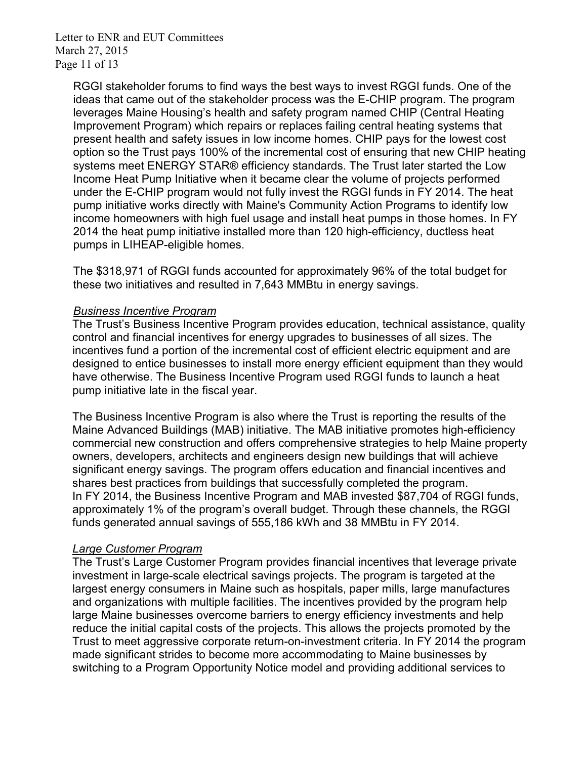Letter to ENR and EUT Committees March 27, 2015 Page 11 of 13

RGGI stakeholder forums to find ways the best ways to invest RGGI funds. One of the ideas that came out of the stakeholder process was the E-CHIP program. The program leverages Maine Housing's health and safety program named CHIP (Central Heating Improvement Program) which repairs or replaces failing central heating systems that present health and safety issues in low income homes. CHIP pays for the lowest cost option so the Trust pays 100% of the incremental cost of ensuring that new CHIP heating systems meet ENERGY STAR® efficiency standards. The Trust later started the Low Income Heat Pump Initiative when it became clear the volume of projects performed under the E-CHIP program would not fully invest the RGGI funds in FY 2014. The heat pump initiative works directly with Maine's Community Action Programs to identify low income homeowners with high fuel usage and install heat pumps in those homes. In FY 2014 the heat pump initiative installed more than 120 high-efficiency, ductless heat pumps in LIHEAP-eligible homes.

The \$318,971 of RGGI funds accounted for approximately 96% of the total budget for these two initiatives and resulted in 7,643 MMBtu in energy savings.

# *Business Incentive Program*

The Trust's Business Incentive Program provides education, technical assistance, quality control and financial incentives for energy upgrades to businesses of all sizes. The incentives fund a portion of the incremental cost of efficient electric equipment and are designed to entice businesses to install more energy efficient equipment than they would have otherwise. The Business Incentive Program used RGGI funds to launch a heat pump initiative late in the fiscal year.

The Business Incentive Program is also where the Trust is reporting the results of the Maine Advanced Buildings (MAB) initiative. The MAB initiative promotes high-efficiency commercial new construction and offers comprehensive strategies to help Maine property owners, developers, architects and engineers design new buildings that will achieve significant energy savings. The program offers education and financial incentives and shares best practices from buildings that successfully completed the program. In FY 2014, the Business Incentive Program and MAB invested \$87,704 of RGGI funds, approximately 1% of the program's overall budget. Through these channels, the RGGI funds generated annual savings of 555,186 kWh and 38 MMBtu in FY 2014.

# *Large Customer Program*

The Trust's Large Customer Program provides financial incentives that leverage private investment in large-scale electrical savings projects. The program is targeted at the largest energy consumers in Maine such as hospitals, paper mills, large manufactures and organizations with multiple facilities. The incentives provided by the program help large Maine businesses overcome barriers to energy efficiency investments and help reduce the initial capital costs of the projects. This allows the projects promoted by the Trust to meet aggressive corporate return-on-investment criteria. In FY 2014 the program made significant strides to become more accommodating to Maine businesses by switching to a Program Opportunity Notice model and providing additional services to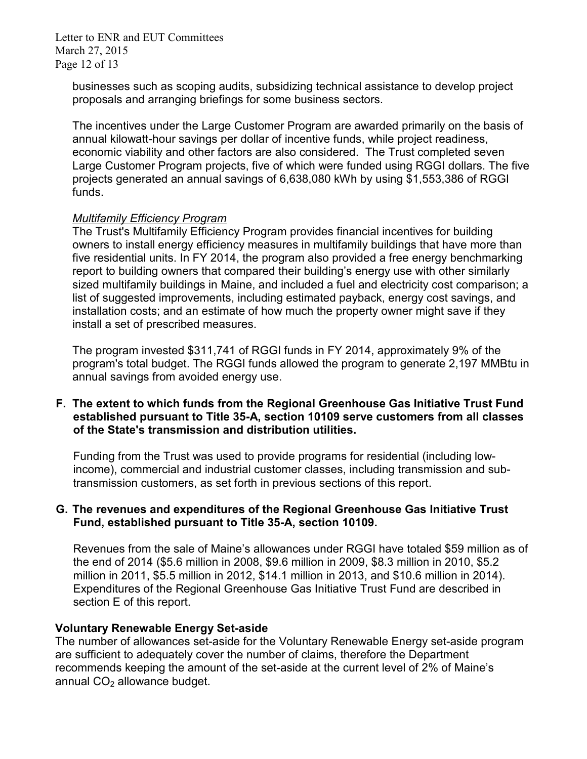Letter to ENR and EUT Committees March 27, 2015 Page 12 of 13

businesses such as scoping audits, subsidizing technical assistance to develop project proposals and arranging briefings for some business sectors.

The incentives under the Large Customer Program are awarded primarily on the basis of annual kilowatt-hour savings per dollar of incentive funds, while project readiness, economic viability and other factors are also considered. The Trust completed seven Large Customer Program projects, five of which were funded using RGGI dollars. The five projects generated an annual savings of 6,638,080 kWh by using \$1,553,386 of RGGI funds.

#### *Multifamily Efficiency Program*

The Trust's Multifamily Efficiency Program provides financial incentives for building owners to install energy efficiency measures in multifamily buildings that have more than five residential units. In FY 2014, the program also provided a free energy benchmarking report to building owners that compared their building's energy use with other similarly sized multifamily buildings in Maine, and included a fuel and electricity cost comparison; a list of suggested improvements, including estimated payback, energy cost savings, and installation costs; and an estimate of how much the property owner might save if they install a set of prescribed measures.

The program invested \$311,741 of RGGI funds in FY 2014, approximately 9% of the program's total budget. The RGGI funds allowed the program to generate 2,197 MMBtu in annual savings from avoided energy use.

#### **F. The extent to which funds from the Regional Greenhouse Gas Initiative Trust Fund established pursuant to Title 35-A, section 10109 serve customers from all classes of the State's transmission and distribution utilities.**

Funding from the Trust was used to provide programs for residential (including lowincome), commercial and industrial customer classes, including transmission and subtransmission customers, as set forth in previous sections of this report.

#### **G. The revenues and expenditures of the Regional Greenhouse Gas Initiative Trust Fund, established pursuant to Title 35-A, section 10109.**

Revenues from the sale of Maine's allowances under RGGI have totaled \$59 million as of the end of 2014 (\$5.6 million in 2008, \$9.6 million in 2009, \$8.3 million in 2010, \$5.2 million in 2011, \$5.5 million in 2012, \$14.1 million in 2013, and \$10.6 million in 2014). Expenditures of the Regional Greenhouse Gas Initiative Trust Fund are described in section E of this report.

#### **Voluntary Renewable Energy Set-aside**

The number of allowances set-aside for the Voluntary Renewable Energy set-aside program are sufficient to adequately cover the number of claims, therefore the Department recommends keeping the amount of the set-aside at the current level of 2% of Maine's annual  $CO<sub>2</sub>$  allowance budget.